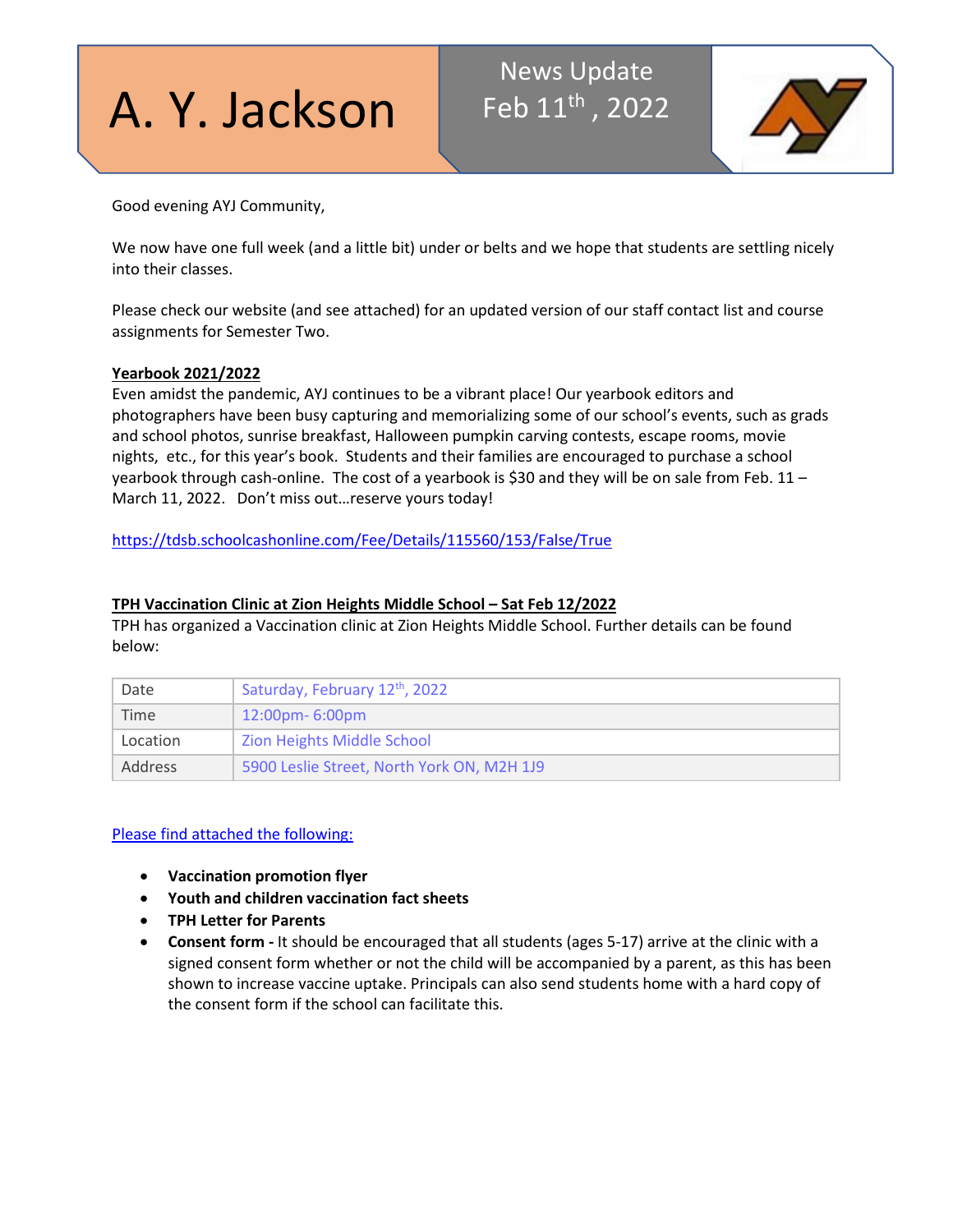A. Y. Jackson

# News Update Feb 11<sup>th</sup>, 2022



Good evening AYJ Community,

We now have one full week (and a little bit) under or belts and we hope that students are settling nicely into their classes.

Please check our website (and see attached) for an updated version of our staff contact list and course assignments for Semester Two.

# **Yearbook 2021/2022**

Even amidst the pandemic, AYJ continues to be a vibrant place! Our yearbook editors and photographers have been busy capturing and memorializing some of our school's events, such as grads and school photos, sunrise breakfast, Halloween pumpkin carving contests, escape rooms, movie nights, etc., for this year's book. Students and their families are encouraged to purchase a school yearbook through cash-online. The cost of a yearbook is \$30 and they will be on sale from Feb. 11 – March 11, 2022. Don't miss out…reserve yours today!

<https://tdsb.schoolcashonline.com/Fee/Details/115560/153/False/True>

# **TPH Vaccination Clinic at Zion Heights Middle School – Sat Feb 12/2022**

TPH has organized a Vaccination clinic at Zion Heights Middle School. Further details can be found below:

| Date           | Saturday, February 12th, 2022              |  |  |
|----------------|--------------------------------------------|--|--|
| Time           | $12:00 \text{pm} - 6:00 \text{pm}$         |  |  |
| Location       | Zion Heights Middle School                 |  |  |
| <b>Address</b> | 5900 Leslie Street, North York ON, M2H 1J9 |  |  |

#### Please find attached the following:

- **Vaccination promotion flyer**
- **Youth and children vaccination fact sheets**
- **TPH Letter for Parents**
- **Consent form -** It should be encouraged that all students (ages 5-17) arrive at the clinic with a signed consent form whether or not the child will be accompanied by a parent, as this has been shown to increase vaccine uptake. Principals can also send students home with a hard copy of the consent form if the school can facilitate this.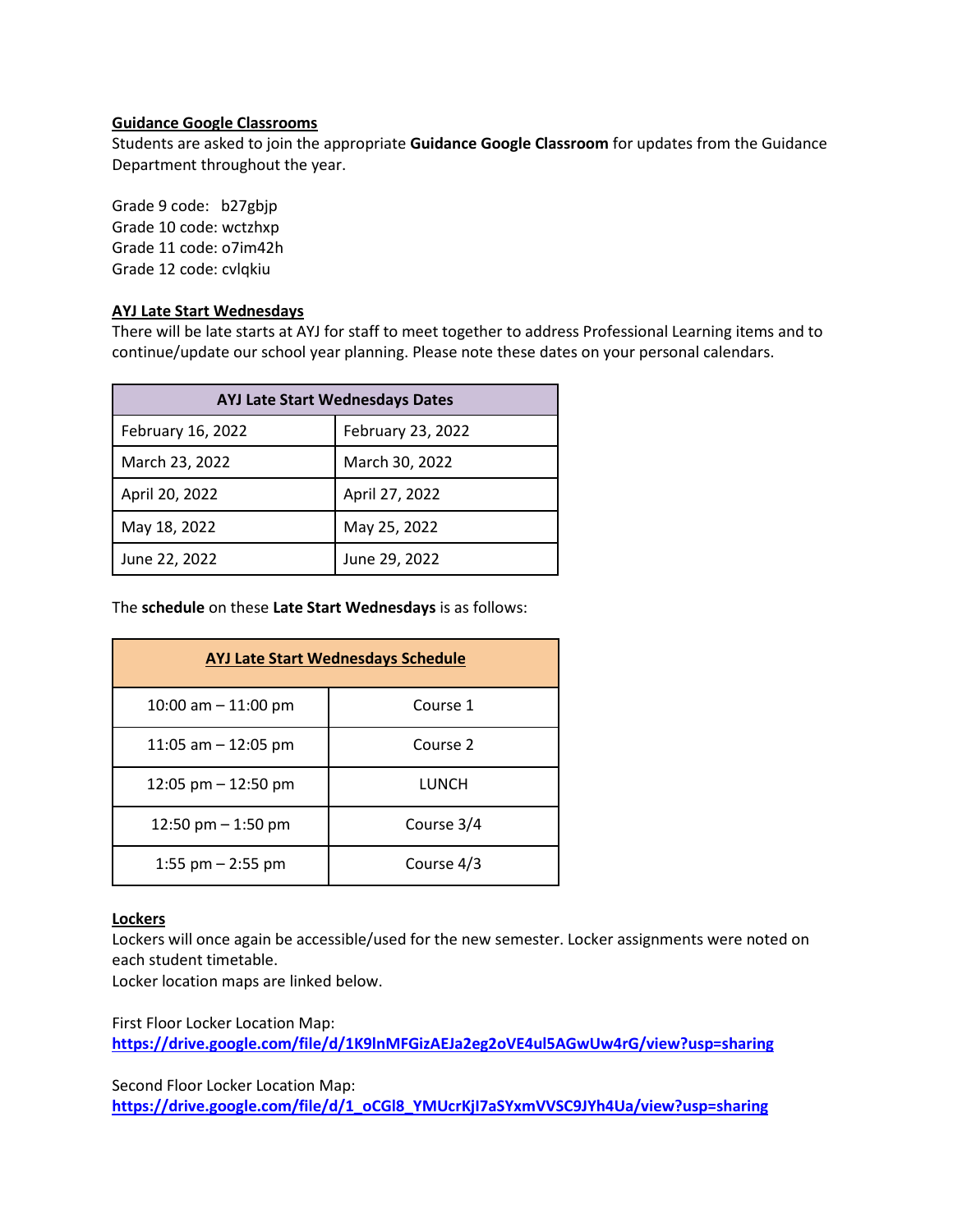#### **Guidance Google Classrooms**

Students are asked to join the appropriate **Guidance Google Classroom** for updates from the Guidance Department throughout the year.

Grade 9 code: b27gbjp Grade 10 code: wctzhxp Grade 11 code: o7im42h Grade 12 code: cvlqkiu

#### **AYJ Late Start Wednesdays**

There will be late starts at AYJ for staff to meet together to address Professional Learning items and to continue/update our school year planning. Please note these dates on your personal calendars.

| <b>AYJ Late Start Wednesdays Dates</b> |                   |  |  |
|----------------------------------------|-------------------|--|--|
| February 16, 2022                      | February 23, 2022 |  |  |
| March 23, 2022                         | March 30, 2022    |  |  |
| April 20, 2022                         | April 27, 2022    |  |  |
| May 18, 2022                           | May 25, 2022      |  |  |
| June 22, 2022                          | June 29, 2022     |  |  |

The **schedule** on these **Late Start Wednesdays** is as follows:

| <b>AYJ Late Start Wednesdays Schedule</b> |            |  |  |  |
|-------------------------------------------|------------|--|--|--|
| 10:00 am $-$ 11:00 pm                     | Course 1   |  |  |  |
| 11:05 am $-$ 12:05 pm                     | Course 2   |  |  |  |
| 12:05 pm $-$ 12:50 pm                     | LUNCH      |  |  |  |
| 12:50 pm $-$ 1:50 pm                      | Course 3/4 |  |  |  |
| 1:55 pm $-$ 2:55 pm                       | Course 4/3 |  |  |  |

#### **Lockers**

Lockers will once again be accessible/used for the new semester. Locker assignments were noted on each student timetable.

Locker location maps are linked below.

First Floor Locker Location Map: **<https://drive.google.com/file/d/1K9lnMFGizAEJa2eg2oVE4ul5AGwUw4rG/view?usp=sharing>**

Second Floor Locker Location Map:

**[https://drive.google.com/file/d/1\\_oCGl8\\_YMUcrKjI7aSYxmVVSC9JYh4Ua/view?usp=sharing](https://drive.google.com/file/d/1_oCGl8_YMUcrKjI7aSYxmVVSC9JYh4Ua/view?usp=sharing)**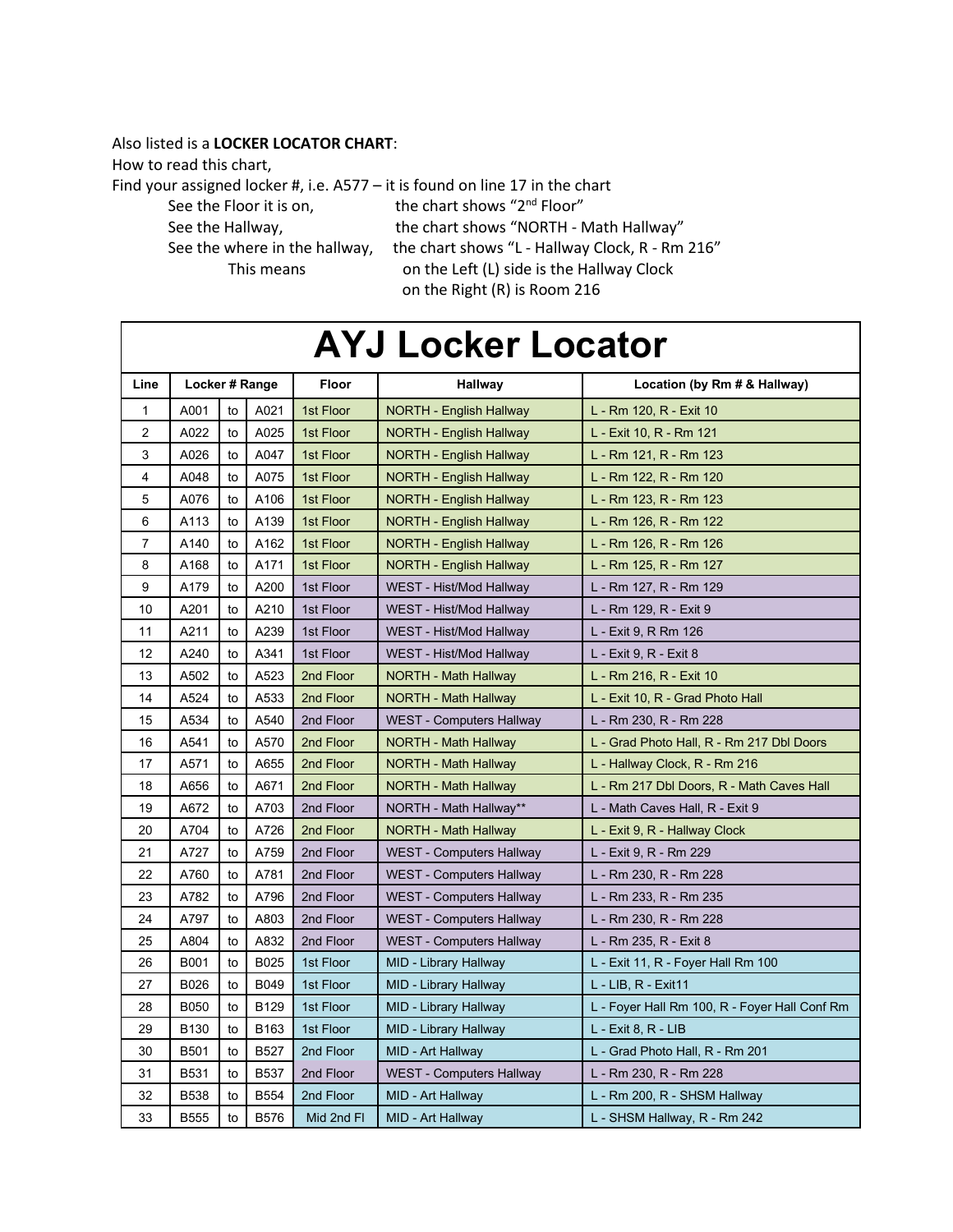#### Also listed is a **LOCKER LOCATOR CHART**:

How to read this chart,

Find your assigned locker #, i.e.  $A577 - it$  is found on line 17 in the chart<br>See the Floor it is on. the chart shows "2<sup>nd</sup> Floor"

See the Floor it is on,

See the Hallway, The chart shows "NORTH - Math Hallway" See the where in the hallway, the chart shows "L - Hallway Clock, R - Rm 216" This means on the Left (L) side is the Hallway Clock on the Right (R) is Room 216

# **AYJ Locker Locator**

| Line           | Locker # Range   |    | Floor       | Hallway    | Location (by Rm # & Hallway)    |                                               |
|----------------|------------------|----|-------------|------------|---------------------------------|-----------------------------------------------|
| 1              | A001             | to | A021        | 1st Floor  | <b>NORTH - English Hallway</b>  | L - Rm 120, R - Exit 10                       |
| $\overline{2}$ | A022             | to | A025        | 1st Floor  | NORTH - English Hallway         | L - Exit 10, R - Rm 121                       |
| 3              | A026             | to | A047        | 1st Floor  | NORTH - English Hallway         | L - Rm 121, R - Rm 123                        |
| 4              | A048             | to | A075        | 1st Floor  | <b>NORTH - English Hallway</b>  | L - Rm 122, R - Rm 120                        |
| 5              | A076             | to | A106        | 1st Floor  | NORTH - English Hallway         | L - Rm 123, R - Rm 123                        |
| 6              | A113             | to | A139        | 1st Floor  | <b>NORTH - English Hallway</b>  | L - Rm 126, R - Rm 122                        |
| 7              | A140             | to | A162        | 1st Floor  | NORTH - English Hallway         | L - Rm 126, R - Rm 126                        |
| 8              | A168             | to | A171        | 1st Floor  | <b>NORTH - English Hallway</b>  | L - Rm 125, R - Rm 127                        |
| 9              | A179             | to | A200        | 1st Floor  | WEST - Hist/Mod Hallway         | L - Rm 127, R - Rm 129                        |
| 10             | A201             | to | A210        | 1st Floor  | WEST - Hist/Mod Hallway         | L - Rm 129, R - Exit 9                        |
| 11             | A211             | to | A239        | 1st Floor  | WEST - Hist/Mod Hallway         | L - Exit 9, R Rm 126                          |
| 12             | A240             | to | A341        | 1st Floor  | WEST - Hist/Mod Hallway         | L - Exit 9, R - Exit 8                        |
| 13             | A502             | to | A523        | 2nd Floor  | NORTH - Math Hallway            | L - Rm 216, R - Exit 10                       |
| 14             | A524             | to | A533        | 2nd Floor  | NORTH - Math Hallway            | L - Exit 10, R - Grad Photo Hall              |
| 15             | A534             | to | A540        | 2nd Floor  | <b>WEST - Computers Hallway</b> | L - Rm 230, R - Rm 228                        |
| 16             | A541             | to | A570        | 2nd Floor  | NORTH - Math Hallway            | L - Grad Photo Hall, R - Rm 217 Dbl Doors     |
| 17             | A571             | to | A655        | 2nd Floor  | NORTH - Math Hallway            | L - Hallway Clock, R - Rm 216                 |
| 18             | A656             | to | A671        | 2nd Floor  | NORTH - Math Hallway            | L - Rm 217 Dbl Doors, R - Math Caves Hall     |
| 19             | A672             | to | A703        | 2nd Floor  | NORTH - Math Hallway**          | L - Math Caves Hall, R - Exit 9               |
| 20             | A704             | to | A726        | 2nd Floor  | <b>NORTH - Math Hallway</b>     | L - Exit 9, R - Hallway Clock                 |
| 21             | A727             | to | A759        | 2nd Floor  | <b>WEST - Computers Hallway</b> | L - Exit 9, R - Rm 229                        |
| 22             | A760             | to | A781        | 2nd Floor  | WEST - Computers Hallway        | L - Rm 230, R - Rm 228                        |
| 23             | A782             | to | A796        | 2nd Floor  | WEST - Computers Hallway        | L - Rm 233, R - Rm 235                        |
| 24             | A797             | to | A803        | 2nd Floor  | <b>WEST - Computers Hallway</b> | L - Rm 230, R - Rm 228                        |
| 25             | A804             | to | A832        | 2nd Floor  | WEST - Computers Hallway        | L - Rm 235, R - Exit 8                        |
| 26             | B001             | to | B025        | 1st Floor  | MID - Library Hallway           | L - Exit 11, R - Foyer Hall Rm 100            |
| 27             | B026             | to | B049        | 1st Floor  | MID - Library Hallway           | L - LIB, R - Exit11                           |
| 28             | <b>B050</b>      | to | <b>B129</b> | 1st Floor  | MID - Library Hallway           | L - Foyer Hall Rm 100, R - Foyer Hall Conf Rm |
| 29             | B <sub>130</sub> | to | B163        | 1st Floor  | MID - Library Hallway           | L - Exit 8, R - LIB                           |
| 30             | <b>B501</b>      | to | <b>B527</b> | 2nd Floor  | MID - Art Hallway               | L - Grad Photo Hall, R - Rm 201               |
| 31             | B531             | to | <b>B537</b> | 2nd Floor  | <b>WEST - Computers Hallway</b> | L - Rm 230, R - Rm 228                        |
| 32             | <b>B538</b>      | to | <b>B554</b> | 2nd Floor  | MID - Art Hallway               | L - Rm 200, R - SHSM Hallway                  |
| 33             | <b>B555</b>      | to | <b>B576</b> | Mid 2nd FI | MID - Art Hallway               | L - SHSM Hallway, R - Rm 242                  |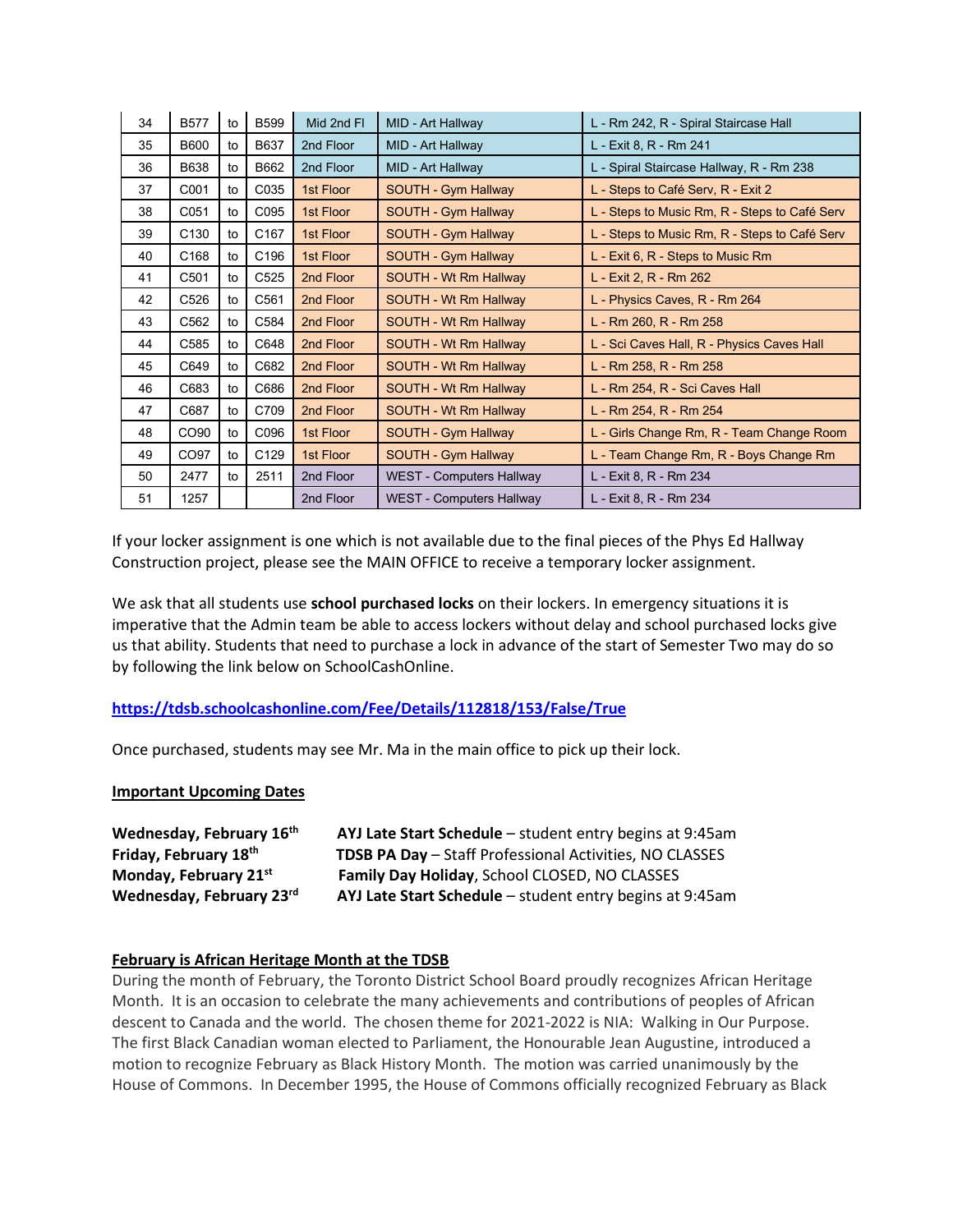| 34 | <b>B577</b>      | to | <b>B599</b>      | Mid 2nd FI | MID - Art Hallway               | L - Rm 242, R - Spiral Staircase Hall         |
|----|------------------|----|------------------|------------|---------------------------------|-----------------------------------------------|
| 35 | <b>B600</b>      | to | B637             | 2nd Floor  | MID - Art Hallway               | L - Exit 8, R - Rm 241                        |
| 36 | B638             | to | B662             | 2nd Floor  | MID - Art Hallway               | L - Spiral Staircase Hallway, R - Rm 238      |
| 37 | C001             | to | C035             | 1st Floor  | SOUTH - Gym Hallway             | L - Steps to Café Serv, R - Exit 2            |
| 38 | C051             | to | C095             | 1st Floor  | <b>SOUTH - Gym Hallway</b>      | L - Steps to Music Rm, R - Steps to Café Serv |
| 39 | C <sub>130</sub> | to | C <sub>167</sub> | 1st Floor  | <b>SOUTH - Gym Hallway</b>      | L - Steps to Music Rm, R - Steps to Café Serv |
| 40 | C168             | to | C196             | 1st Floor  | SOUTH - Gym Hallway             | L - Exit 6, R - Steps to Music Rm             |
| 41 | C501             | to | C <sub>525</sub> | 2nd Floor  | SOUTH - Wt Rm Hallway           | L - Exit 2, R - Rm 262                        |
| 42 | C526             | to | C561             | 2nd Floor  | SOUTH - Wt Rm Hallway           | L - Physics Caves, R - Rm 264                 |
| 43 | C <sub>562</sub> | to | C584             | 2nd Floor  | SOUTH - Wt Rm Hallway           | L - Rm 260, R - Rm 258                        |
| 44 | C585             | to | C648             | 2nd Floor  | SOUTH - Wt Rm Hallway           | L - Sci Caves Hall, R - Physics Caves Hall    |
| 45 | C649             | to | C682             | 2nd Floor  | SOUTH - Wt Rm Hallway           | L - Rm 258, R - Rm 258                        |
| 46 | C683             | to | C686             | 2nd Floor  | SOUTH - Wt Rm Hallway           | L - Rm 254, R - Sci Caves Hall                |
| 47 | C687             | to | C709             | 2nd Floor  | SOUTH - Wt Rm Hallway           | L - Rm 254, R - Rm 254                        |
| 48 | CO <sub>90</sub> | to | C096             | 1st Floor  | SOUTH - Gym Hallway             | L - Girls Change Rm, R - Team Change Room     |
| 49 | CO97             | to | C129             | 1st Floor  | SOUTH - Gym Hallway             | L - Team Change Rm, R - Boys Change Rm        |
| 50 | 2477             | to | 2511             | 2nd Floor  | <b>WEST - Computers Hallway</b> | L - Exit 8, R - Rm 234                        |
| 51 | 1257             |    |                  | 2nd Floor  | <b>WEST - Computers Hallway</b> | L - Exit 8, R - Rm 234                        |

If your locker assignment is one which is not available due to the final pieces of the Phys Ed Hallway Construction project, please see the MAIN OFFICE to receive a temporary locker assignment.

We ask that all students use **school purchased locks** on their lockers. In emergency situations it is imperative that the Admin team be able to access lockers without delay and school purchased locks give us that ability. Students that need to purchase a lock in advance of the start of Semester Two may do so by following the link below on SchoolCashOnline.

#### **[https://tdsb.schoolcashonline.com/Fee/Details/112818/153/False/True](http://track.spe.schoolmessenger.com/f/a/3_xaJ9vJGOmm_4d6cVDEog%7E%7E/AAAAAQA%7E/RgRj0vj2P0RDaHR0cHM6Ly90ZHNiLnNjaG9vbGNhc2hvbmxpbmUuY29tL0ZlZS9EZXRhaWxzLzExMjgxOC8xNTMvRmFsc2UvVHJ1ZVcHc2Nob29sbUIKYel2xfFhVbYhX1IZcGV0ZXIucGFwdXRzaXNAdGRzYi5vbi5jYVgEAAAAAg%7E%7E)**

Once purchased, students may see Mr. Ma in the main office to pick up their lock.

#### **Important Upcoming Dates**

| Wednesday, February 16th | AYJ Late Start Schedule - student entry begins at 9:45am |  |
|--------------------------|----------------------------------------------------------|--|
| Friday, February 18th    | TDSB PA Day - Staff Professional Activities, NO CLASSES  |  |
| Monday, February 21st    | Family Day Holiday, School CLOSED, NO CLASSES            |  |
| Wednesday, February 23rd | AYJ Late Start Schedule - student entry begins at 9:45am |  |

#### **February is African Heritage Month at the TDSB**

During the month of February, the Toronto District School Board proudly recognizes African Heritage Month. It is an occasion to celebrate the many achievements and contributions of peoples of African descent to Canada and the world. The chosen theme for 2021-2022 is NIA: Walking in Our Purpose. The first Black Canadian woman elected to Parliament, the Honourable Jean Augustine, introduced a motion to recognize February as Black History Month. The motion was carried unanimously by the House of Commons. In December 1995, the House of Commons officially recognized February as Black